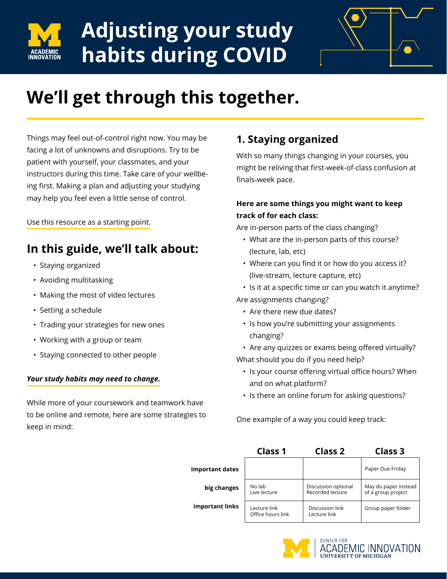

# **Adjusting your study habits during COVID**



## **We'll get through this together.**

Things may feel out-of-control right now. You may be facing a lot of unknowns and disruptions. Try to be patient with yourself, your classmates, and your instructors during this time. Take care of your wellbeing first. Making a plan and adjusting your studying may help you feel even a little sense of control.

Use this resource as a starting point.

## **In this guide, we'll talk about:**

- Staying organized
- Avoiding multitasking
- Making the most of video lectures
- Setting a schedule
- Trading your strategies for new ones
- Working with a group or team
- Staying connected to other people

#### *Your study habits may need to change.*

While more of your coursework and teamwork have to be online and remote, here are some strategies to keep in mind:

## **1. Staying organized**

With so many things changing in your courses, you might be reliving that first-week-of-class confusion at finals-week pace.

#### **Here are some things you might want to keep track of for each class:**

Are in-person parts of the class changing?

- What are the in-person parts of this course? (lecture, lab, etc)
- Where can you find it or how do you access it? (live-stream, lecture capture, etc)
- Is it at a specific time or can you watch it anytime?
- Are assignments changing?
	- Are there new due dates?
	- Is how you're submitting your assignments changing?
	- Are any quizzes or exams being offered virtually?

What should you do if you need help?

- Is your course offering virtual office hours? When and on what platform?
- Is there an online forum for asking questions?

One example of a way you could keep track:

|                        | <b>Class 1</b>                    | <b>Class 2</b>                          | Class 3                                    |
|------------------------|-----------------------------------|-----------------------------------------|--------------------------------------------|
| <b>Important dates</b> |                                   |                                         | Paper Due Friday                           |
| big changes            | No lab<br>Live lecture            | Discussion optional<br>Recorded lecture | May do paper instead<br>of a group project |
| important links        | Lecture link<br>Office hours link | Discussion link<br>Lecture link         | Group paper folder                         |



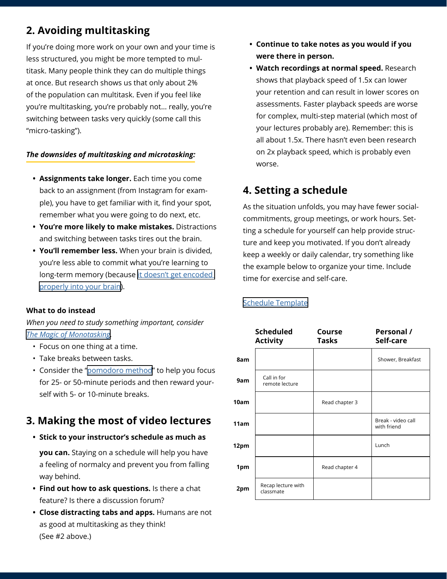## **2. Avoiding multitasking**

If you're doing more work on your own and your time is less structured, you might be more tempted to multitask. Many people think they can do multiple things at once. But research shows us that only about 2% of the population can multitask. Even if you feel like you're multitasking, you're probably not… really, you're switching between tasks very quickly (some call this "micro-tasking").

#### *The downsides of multitasking and microtasking:*

- **• Assignments take longer.** Each time you come back to an assignment (from Instagram for example), you have to get familiar with it, find your spot, remember what you were going to do next, etc.
- **• You're more likely to make mistakes.** Distractions and switching between tasks tires out the brain.
- **• You'll remember less.** When your brain is divided, you're less able to commit what you're learning to long-term memory (because [it doesn't get encoded](https://www.ncbi.nlm.nih.gov/pubmed/10868332)  [properly into your brain](https://www.ncbi.nlm.nih.gov/pubmed/10868332)).

#### **What to do instead**

*When you need to study something important, consider [The Magic of Monotasking](https://www.huffpost.com/entry/the-magic-of-monotasking_b_9239892).* 

- Focus on one thing at a time.
- Take breaks between tasks.
- Consider the "[pomodoro method"](https://tomato-timer.com/) to help you focus for 25- or 50-minute periods and then reward yourself with 5- or 10-minute breaks.

### **3. Making the most of video lectures**

**• Stick to your instructor's schedule as much as** 

**you can.** Staying on a schedule will help you have a feeling of normalcy and prevent you from falling way behind.

- **• Find out how to ask questions.** Is there a chat feature? Is there a discussion forum?
- **• Close distracting tabs and apps.** Humans are not as good at multitasking as they think! (See #2 above.)
- **• Continue to take notes as you would if you were there in person.**
- **• Watch recordings at normal speed.** Research shows that playback speed of 1.5x can lower your retention and can result in lower scores on assessments. Faster playback speeds are worse for complex, multi-step material (which most of your lectures probably are). Remember: this is all about 1.5x. There hasn't even been research on 2x playback speed, which is probably even worse.

## **4. Setting a schedule**

As the situation unfolds, you may have fewer socialcommitments, group meetings, or work hours. Setting a schedule for yourself can help provide structure and keep you motivated. If you don't already keep a weekly or daily calendar, try something like the example below to organize your time. Include time for exercise and self-care.

#### [Schedule Template](https://docs.google.com/spreadsheets/d/1RLK9JF-wWfOqKuZQpDjpBZ_nA5d3t9EGqLua4fCEUtU/edit#gid=0)

|      | <b>Scheduled</b><br><b>Activity</b> | Course<br>Tasks | Personal /<br>Self-care           |
|------|-------------------------------------|-----------------|-----------------------------------|
| 8am  |                                     |                 | Shower, Breakfast                 |
| 9am  | Call in for<br>remote lecture       |                 |                                   |
| 10am |                                     | Read chapter 3  |                                   |
| 11am |                                     |                 | Break - video call<br>with friend |
| 12pm |                                     |                 | Lunch                             |
| 1pm  |                                     | Read chapter 4  |                                   |
| 2pm  | Recap lecture with<br>classmate     |                 |                                   |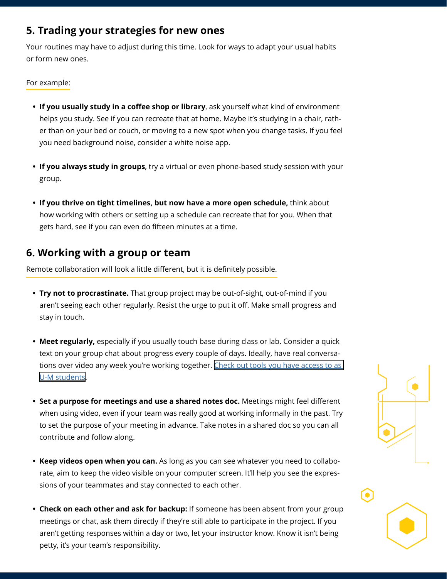### **5. Trading your strategies for new ones**

Your routines may have to adjust during this time. Look for ways to adapt your usual habits or form new ones.

#### For example:

- **• If you usually study in a coffee shop or library**, ask yourself what kind of environment helps you study. See if you can recreate that at home. Maybe it's studying in a chair, rather than on your bed or couch, or moving to a new spot when you change tasks. If you feel you need background noise, consider a white noise app.
- **• If you always study in groups**, try a virtual or even phone-based study session with your group.
- **• If you thrive on tight timelines, but now have a more open schedule,** think about how working with others or setting up a schedule can recreate that for you. When that gets hard, see if you can even do fifteen minutes at a time.

### **6. Working with a group or team**

Remote collaboration will look a little different, but it is definitely possible.

- **• Try not to procrastinate.** That group project may be out-of-sight, out-of-mind if you aren't seeing each other regularly. Resist the urge to put it off. Make small progress and stay in touch.
- **• Meet regularly,** especially if you usually touch base during class or lab. Consider a quick text on your group chat about progress every couple of days. Ideally, have real conversations over video any week you're working together. Check out tools you have access to as [U-M students](https://its.umich.edu/remote-resource-guide#learning).
- **• Set a purpose for meetings and use a shared notes doc.** Meetings might feel different when using video, even if your team was really good at working informally in the past. Try to set the purpose of your meeting in advance. Take notes in a shared doc so you can all contribute and follow along.
- **• Keep videos open when you can.** As long as you can see whatever you need to collaborate, aim to keep the video visible on your computer screen. It'll help you see the expressions of your teammates and stay connected to each other.
- **• Check on each other and ask for backup:** If someone has been absent from your group meetings or chat, ask them directly if they're still able to participate in the project. If you aren't getting responses within a day or two, let your instructor know. Know it isn't being petty, it's your team's responsibility.